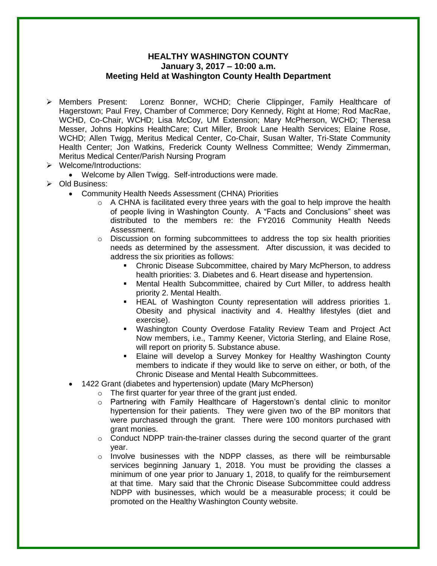## **HEALTHY WASHINGTON COUNTY January 3, 2017 – 10:00 a.m. Meeting Held at Washington County Health Department**

- Members Present: Lorenz Bonner, WCHD; Cherie Clippinger, Family Healthcare of Hagerstown; Paul Frey, Chamber of Commerce; Dory Kennedy, Right at Home; Rod MacRae, WCHD, Co-Chair, WCHD; Lisa McCoy, UM Extension; Mary McPherson, WCHD; Theresa Messer, Johns Hopkins HealthCare; Curt Miller, Brook Lane Health Services; Elaine Rose, WCHD; Allen Twigg, Meritus Medical Center, Co-Chair, Susan Walter, Tri-State Community Health Center; Jon Watkins, Frederick County Wellness Committee; Wendy Zimmerman, Meritus Medical Center/Parish Nursing Program
- Welcome/Introductions:
	- Welcome by Allen Twigg. Self-introductions were made.
- Old Business:
	- Community Health Needs Assessment (CHNA) Priorities
		- $\circ$  A CHNA is facilitated every three years with the goal to help improve the health of people living in Washington County. A "Facts and Conclusions" sheet was distributed to the members re: the FY2016 Community Health Needs Assessment.
		- $\circ$  Discussion on forming subcommittees to address the top six health priorities needs as determined by the assessment. After discussion, it was decided to address the six priorities as follows:
			- Chronic Disease Subcommittee, chaired by Mary McPherson, to address health priorities: 3. Diabetes and 6. Heart disease and hypertension.
			- Mental Health Subcommittee, chaired by Curt Miller, to address health priority 2. Mental Health.
			- HEAL of Washington County representation will address priorities 1. Obesity and physical inactivity and 4. Healthy lifestyles (diet and exercise).
			- Washington County Overdose Fatality Review Team and Project Act Now members, i.e., Tammy Keener, Victoria Sterling, and Elaine Rose, will report on priority 5. Substance abuse.
			- Elaine will develop a Survey Monkey for Healthy Washington County members to indicate if they would like to serve on either, or both, of the Chronic Disease and Mental Health Subcommittees.
	- 1422 Grant (diabetes and hypertension) update (Mary McPherson)
		- o The first quarter for year three of the grant just ended.
		- o Partnering with Family Healthcare of Hagerstown's dental clinic to monitor hypertension for their patients. They were given two of the BP monitors that were purchased through the grant. There were 100 monitors purchased with grant monies.
		- $\circ$  Conduct NDPP train-the-trainer classes during the second quarter of the grant year.
		- o Involve businesses with the NDPP classes, as there will be reimbursable services beginning January 1, 2018. You must be providing the classes a minimum of one year prior to January 1, 2018, to qualify for the reimbursement at that time. Mary said that the Chronic Disease Subcommittee could address NDPP with businesses, which would be a measurable process; it could be promoted on the Healthy Washington County website.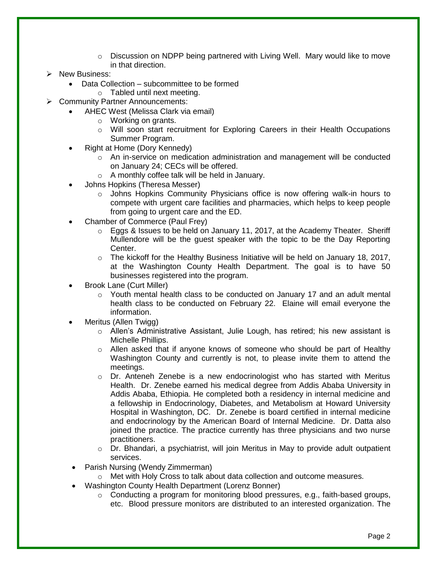- $\circ$  Discussion on NDPP being partnered with Living Well. Mary would like to move in that direction.
- > New Business:
	- Data Collection subcommittee to be formed
	- o Tabled until next meeting.
- Community Partner Announcements:
	- AHEC West (Melissa Clark via email)
		- o Working on grants.
		- o Will soon start recruitment for Exploring Careers in their Health Occupations Summer Program.
	- Right at Home (Dory Kennedy)
		- o An in-service on medication administration and management will be conducted on January 24; CECs will be offered.
		- o A monthly coffee talk will be held in January.
	- Johns Hopkins (Theresa Messer)
		- $\circ$  Johns Hopkins Community Physicians office is now offering walk-in hours to compete with urgent care facilities and pharmacies, which helps to keep people from going to urgent care and the ED.
	- Chamber of Commerce (Paul Frey)
		- o Eggs & Issues to be held on January 11, 2017, at the Academy Theater. Sheriff Mullendore will be the guest speaker with the topic to be the Day Reporting Center.
		- $\circ$  The kickoff for the Healthy Business Initiative will be held on January 18, 2017, at the Washington County Health Department. The goal is to have 50 businesses registered into the program.
	- Brook Lane (Curt Miller)
		- o Youth mental health class to be conducted on January 17 and an adult mental health class to be conducted on February 22. Elaine will email everyone the information.
	- Meritus (Allen Twigg)
		- o Allen's Administrative Assistant, Julie Lough, has retired; his new assistant is Michelle Phillips.
		- $\circ$  Allen asked that if anyone knows of someone who should be part of Healthy Washington County and currently is not, to please invite them to attend the meetings.
		- $\circ$  Dr. Anteneh Zenebe is a new endocrinologist who has started with Meritus Health. Dr. Zenebe earned his medical degree from Addis Ababa University in Addis Ababa, Ethiopia. He completed both a residency in internal medicine and a fellowship in Endocrinology, Diabetes, and Metabolism at Howard University Hospital in Washington, DC. Dr. Zenebe is board certified in internal medicine and endocrinology by the American Board of Internal Medicine. Dr. Datta also joined the practice. The practice currently has three physicians and two nurse practitioners.
		- o Dr. Bhandari, a psychiatrist, will join Meritus in May to provide adult outpatient services.
		- Parish Nursing (Wendy Zimmerman)
			- o Met with Holy Cross to talk about data collection and outcome measures.
	- Washington County Health Department (Lorenz Bonner)
		- o Conducting a program for monitoring blood pressures, e.g., faith-based groups, etc. Blood pressure monitors are distributed to an interested organization. The